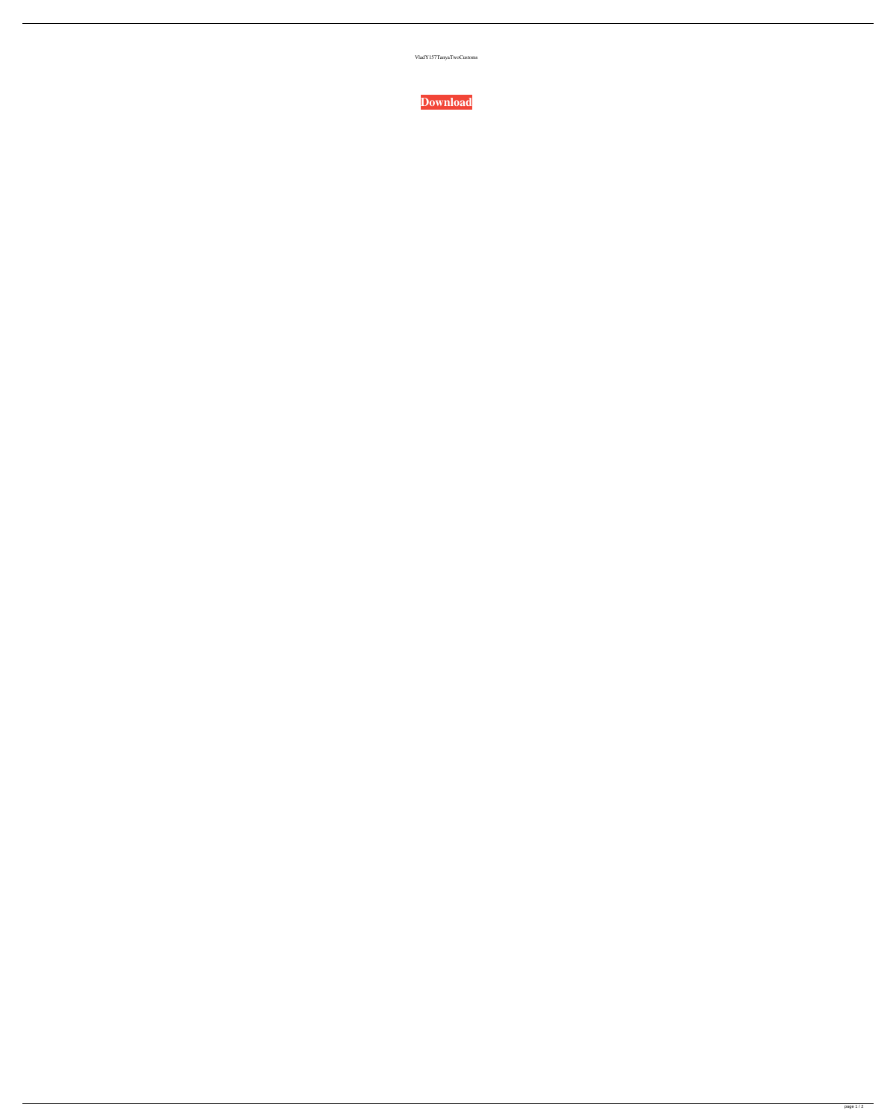VladY157TanyaTwoCustoms